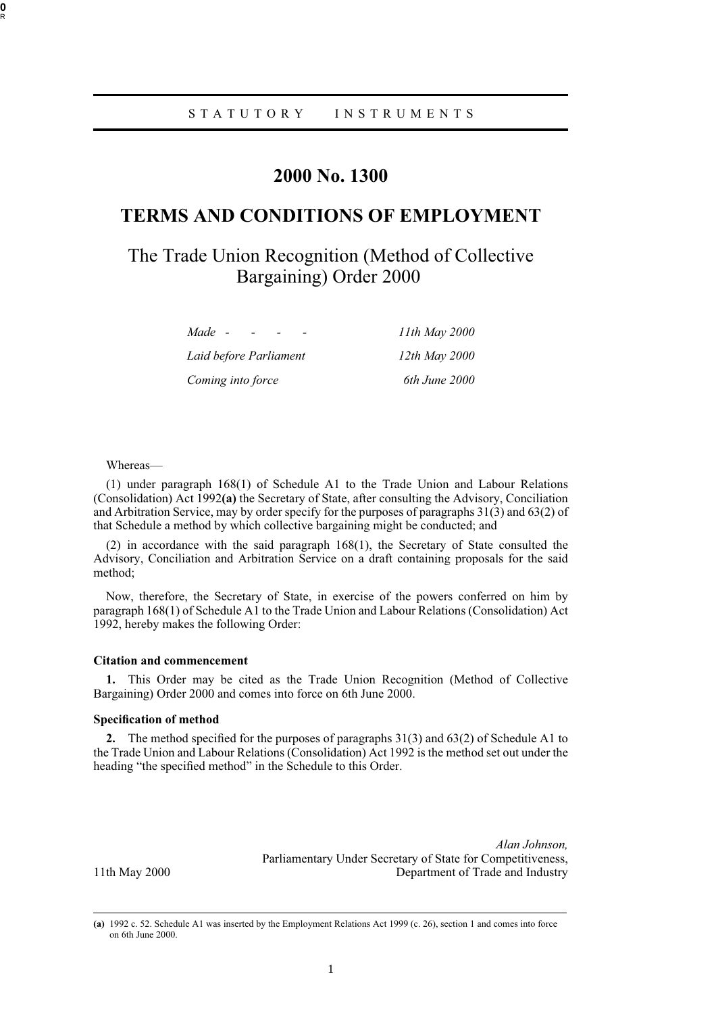# **2000 No. 1300**

# **TERMS AND CONDITIONS OF EMPLOYMENT**

# The Trade Union Recognition (Method of Collective Bargaining) Order 2000

*Made - - - - 11th May 2000 Laid before Parliament 12th May 2000 Coming into force* 6th June 2000

#### Whereas—

**0** R

> (1) under paragraph 168(1) of Schedule A1 to the Trade Union and Labour Relations (Consolidation) Act 1992**(a)** the Secretary of State, after consulting the Advisory, Conciliation and Arbitration Service, may by order specify for the purposes of paragraphs 31(3) and 63(2) of that Schedule a method by which collective bargaining might be conducted; and

> (2) in accordance with the said paragraph 168(1), the Secretary of State consulted the Advisory, Conciliation and Arbitration Service on a draft containing proposals for the said method;

> Now, therefore, the Secretary of State, in exercise of the powers conferred on him by paragraph 168(1) of Schedule A1 to the Trade Union and Labour Relations (Consolidation) Act 1992, hereby makes the following Order:

## **Citation and commencement**

**1.** This Order may be cited as the Trade Union Recognition (Method of Collective Bargaining) Order 2000 and comes into force on 6th June 2000.

#### **Specification of method**

**2.** The method specified for the purposes of paragraphs 31(3) and 63(2) of Schedule A1 to the Trade Union and Labour Relations (Consolidation) Act 1992 is the method set out under the heading "the specified method" in the Schedule to this Order.

*Alan Johnson,* Parliamentary Under Secretary of State for Competitiveness, 11th May 2000 Department of Trade and Industry

**<sup>(</sup>a)** 1992 c. 52. Schedule A1 was inserted by the Employment Relations Act 1999 (c. 26), section 1 and comes into force on 6th June 2000.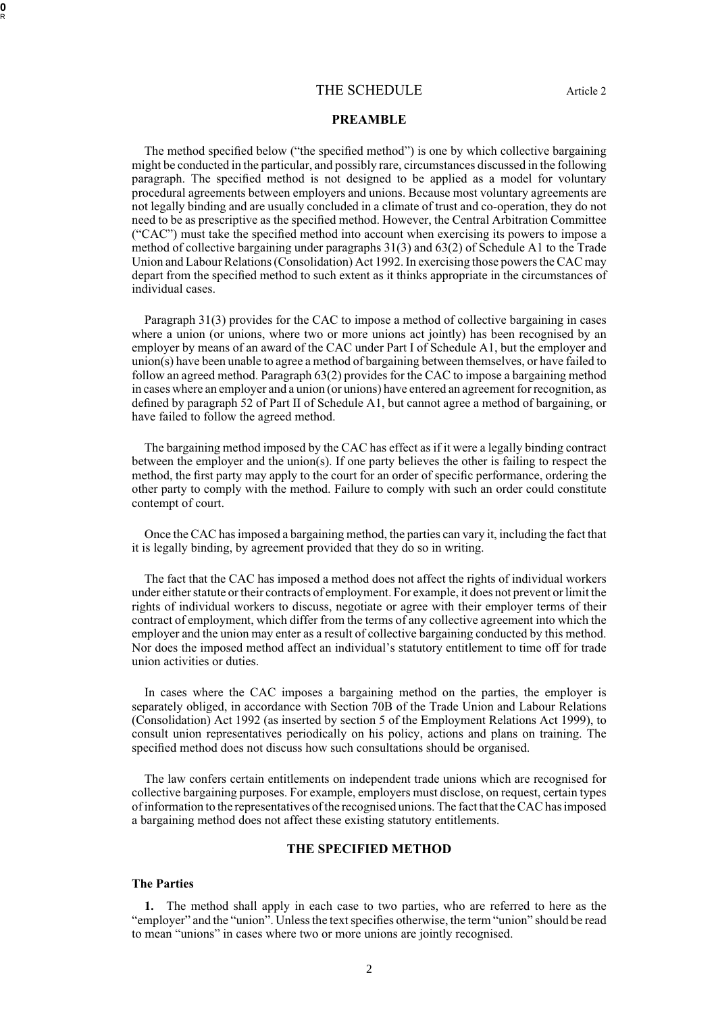# THE SCHEDULE Article 2

# **PREAMBLE**

The method specified below ("the specified method") is one by which collective bargaining might be conducted in the particular, and possibly rare, circumstances discussed in the following paragraph. The specified method is not designed to be applied as a model for voluntary procedural agreements between employers and unions. Because most voluntary agreements are not legally binding and are usually concluded in a climate of trust and co-operation, they do not need to be as prescriptive as the specified method. However, the Central Arbitration Committee ("CAC") must take the specified method into account when exercising its powers to impose a method of collective bargaining under paragraphs 31(3) and 63(2) of Schedule A1 to the Trade Union and Labour Relations (Consolidation) Act 1992. In exercising those powers the CAC may depart from the specified method to such extent as it thinks appropriate in the circumstances of individual cases.

Paragraph 31(3) provides for the CAC to impose a method of collective bargaining in cases where a union (or unions, where two or more unions act jointly) has been recognised by an employer by means of an award of the CAC under Part I of Schedule A1, but the employer and union(s) have been unable to agree a method of bargaining between themselves, or have failed to follow an agreed method. Paragraph 63(2) provides for the CAC to impose a bargaining method in cases where an employer and a union (or unions) have entered an agreement for recognition, as defined by paragraph 52 of Part II of Schedule A1, but cannot agree a method of bargaining, or have failed to follow the agreed method.

The bargaining method imposed by the CAC has effect as if it were a legally binding contract between the employer and the union(s). If one party believes the other is failing to respect the method, the first party may apply to the court for an order of specific performance, ordering the other party to comply with the method. Failure to comply with such an order could constitute contempt of court.

Once the CAC has imposed a bargaining method, the parties can vary it, including the fact that it is legally binding, by agreement provided that they do so in writing.

The fact that the CAC has imposed a method does not affect the rights of individual workers under either statute or their contracts of employment. For example, it does not prevent or limit the rights of individual workers to discuss, negotiate or agree with their employer terms of their contract of employment, which differ from the terms of any collective agreement into which the employer and the union may enter as a result of collective bargaining conducted by this method. Nor does the imposed method affect an individual's statutory entitlement to time off for trade union activities or duties.

In cases where the CAC imposes a bargaining method on the parties, the employer is separately obliged, in accordance with Section 70B of the Trade Union and Labour Relations (Consolidation) Act 1992 (as inserted by section 5 of the Employment Relations Act 1999), to consult union representatives periodically on his policy, actions and plans on training. The specified method does not discuss how such consultations should be organised.

The law confers certain entitlements on independent trade unions which are recognised for collective bargaining purposes. For example, employers must disclose, on request, certain types of information to the representatives of the recognised unions. The fact that the CAC has imposed a bargaining method does not affect these existing statutory entitlements.

# **THE SPECIFIED METHOD**

# **The Parties**

**0** R

> **1.** The method shall apply in each case to two parties, who are referred to here as the "employer" and the "union". Unless the text specifies otherwise, the term "union" should be read to mean "unions" in cases where two or more unions are jointly recognised.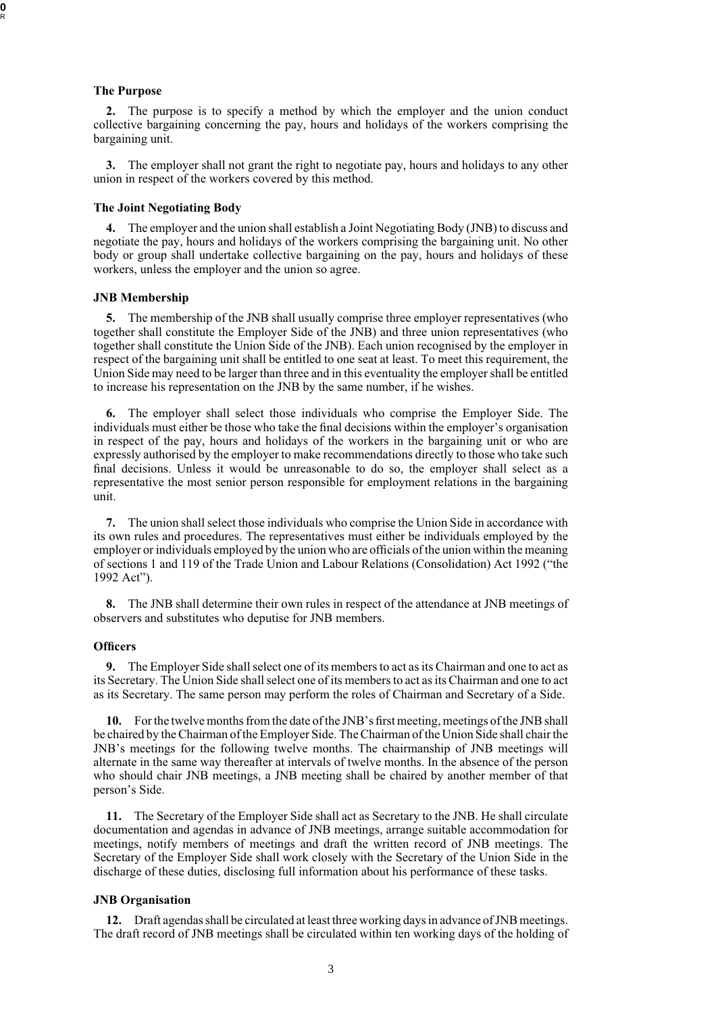# **The Purpose**

**0** R

> **2.** The purpose is to specify a method by which the employer and the union conduct collective bargaining concerning the pay, hours and holidays of the workers comprising the bargaining unit.

> **3.** The employer shall not grant the right to negotiate pay, hours and holidays to any other union in respect of the workers covered by this method.

# **The Joint Negotiating Body**

**4.** The employer and the union shall establish a Joint Negotiating Body (JNB) to discuss and negotiate the pay, hours and holidays of the workers comprising the bargaining unit. No other body or group shall undertake collective bargaining on the pay, hours and holidays of these workers, unless the employer and the union so agree.

# **JNB Membership**

**5.** The membership of the JNB shall usually comprise three employer representatives (who together shall constitute the Employer Side of the JNB) and three union representatives (who together shall constitute the Union Side of the JNB). Each union recognised by the employer in respect of the bargaining unit shall be entitled to one seat at least. To meet this requirement, the Union Side may need to be larger than three and in this eventuality the employer shall be entitled to increase his representation on the JNB by the same number, if he wishes.

**6.** The employer shall select those individuals who comprise the Employer Side. The individuals must either be those who take the final decisions within the employer's organisation in respect of the pay, hours and holidays of the workers in the bargaining unit or who are expressly authorised by the employer to make recommendations directly to those who take such final decisions. Unless it would be unreasonable to do so, the employer shall select as a representative the most senior person responsible for employment relations in the bargaining unit.

**7.** The union shall select those individuals who comprise the Union Side in accordance with its own rules and procedures. The representatives must either be individuals employed by the employer or individuals employed by the union who are officials of the union within the meaning of sections 1 and 119 of the Trade Union and Labour Relations (Consolidation) Act 1992 ("the 1992 Act").

**8.** The JNB shall determine their own rules in respect of the attendance at JNB meetings of observers and substitutes who deputise for JNB members.

# **Officers**

**9.** The Employer Side shall select one of its members to act as its Chairman and one to act as its Secretary. The Union Side shall select one of its members to act as its Chairman and one to act as its Secretary. The same person may perform the roles of Chairman and Secretary of a Side.

**10.** For the twelve months from the date of the JNB's first meeting, meetings of the JNB shall be chaired by the Chairman of the Employer Side. The Chairman of the Union Side shall chair the JNB's meetings for the following twelve months. The chairmanship of JNB meetings will alternate in the same way thereafter at intervals of twelve months. In the absence of the person who should chair JNB meetings, a JNB meeting shall be chaired by another member of that person's Side.

**11.** The Secretary of the Employer Side shall act as Secretary to the JNB. He shall circulate documentation and agendas in advance of JNB meetings, arrange suitable accommodation for meetings, notify members of meetings and draft the written record of JNB meetings. The Secretary of the Employer Side shall work closely with the Secretary of the Union Side in the discharge of these duties, disclosing full information about his performance of these tasks.

# **JNB Organisation**

**12.** Draft agendas shall be circulated at least three working days in advance of JNB meetings. The draft record of JNB meetings shall be circulated within ten working days of the holding of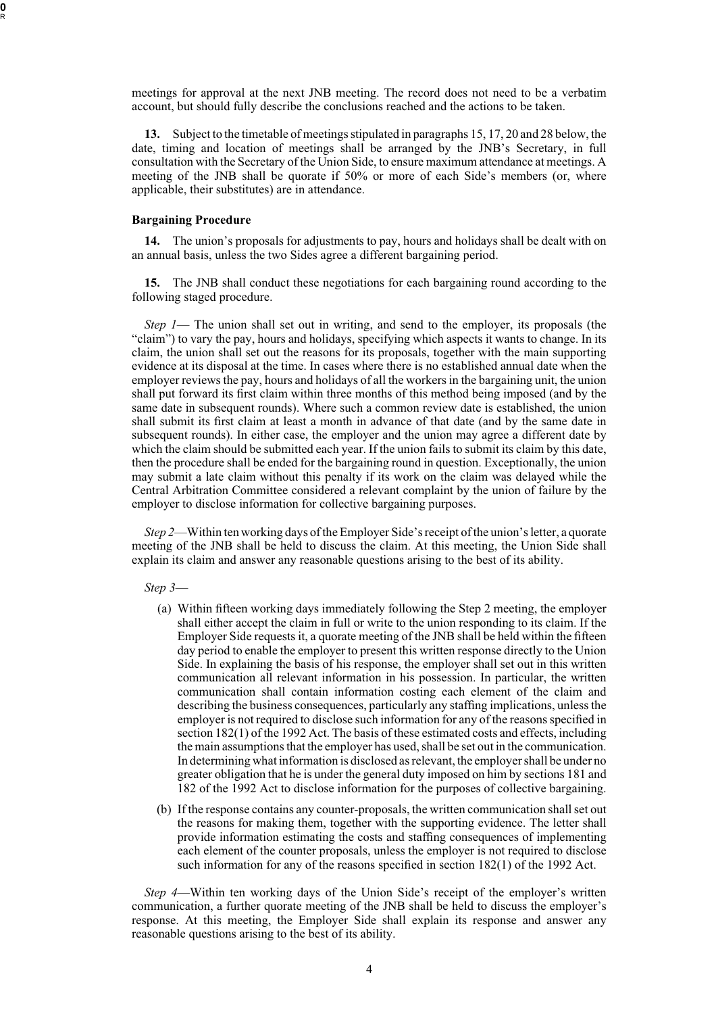meetings for approval at the next JNB meeting. The record does not need to be a verbatim account, but should fully describe the conclusions reached and the actions to be taken.

**13.** Subject to the timetable of meetings stipulated in paragraphs 15, 17, 20 and 28 below, the date, timing and location of meetings shall be arranged by the JNB's Secretary, in full consultation with the Secretary of the Union Side, to ensure maximum attendance at meetings. A meeting of the JNB shall be quorate if 50% or more of each Side's members (or, where applicable, their substitutes) are in attendance.

# **Bargaining Procedure**

**0** R

> **14.** The union's proposals for adjustments to pay, hours and holidays shall be dealt with on an annual basis, unless the two Sides agree a different bargaining period.

> **15.** The JNB shall conduct these negotiations for each bargaining round according to the following staged procedure.

> *Step 1*— The union shall set out in writing, and send to the employer, its proposals (the "claim") to vary the pay, hours and holidays, specifying which aspects it wants to change. In its claim, the union shall set out the reasons for its proposals, together with the main supporting evidence at its disposal at the time. In cases where there is no established annual date when the employer reviews the pay, hours and holidays of all the workers in the bargaining unit, the union shall put forward its first claim within three months of this method being imposed (and by the same date in subsequent rounds). Where such a common review date is established, the union shall submit its first claim at least a month in advance of that date (and by the same date in subsequent rounds). In either case, the employer and the union may agree a different date by which the claim should be submitted each year. If the union fails to submit its claim by this date, then the procedure shall be ended for the bargaining round in question. Exceptionally, the union may submit a late claim without this penalty if its work on the claim was delayed while the Central Arbitration Committee considered a relevant complaint by the union of failure by the employer to disclose information for collective bargaining purposes.

> *Step 2*—Within ten working days of the Employer Side's receipt of the union's letter, a quorate meeting of the JNB shall be held to discuss the claim. At this meeting, the Union Side shall explain its claim and answer any reasonable questions arising to the best of its ability.

#### *Step 3*—

- (a) Within fifteen working days immediately following the Step 2 meeting, the employer shall either accept the claim in full or write to the union responding to its claim. If the Employer Side requests it, a quorate meeting of the JNB shall be held within the fifteen day period to enable the employer to present this written response directly to the Union Side. In explaining the basis of his response, the employer shall set out in this written communication all relevant information in his possession. In particular, the written communication shall contain information costing each element of the claim and describing the business consequences, particularly any staffing implications, unless the employer is not required to disclose such information for any of the reasons specified in section 182(1) of the 1992 Act. The basis of these estimated costs and effects, including the main assumptions that the employer has used, shall be set out in the communication. In determining what information is disclosed as relevant, the employer shall be under no greater obligation that he is under the general duty imposed on him by sections 181 and 182 of the 1992 Act to disclose information for the purposes of collective bargaining.
- (b) If the response contains any counter-proposals, the written communication shall set out the reasons for making them, together with the supporting evidence. The letter shall provide information estimating the costs and staffing consequences of implementing each element of the counter proposals, unless the employer is not required to disclose such information for any of the reasons specified in section 182(1) of the 1992 Act.

*Step 4*—Within ten working days of the Union Side's receipt of the employer's written communication, a further quorate meeting of the JNB shall be held to discuss the employer's response. At this meeting, the Employer Side shall explain its response and answer any reasonable questions arising to the best of its ability.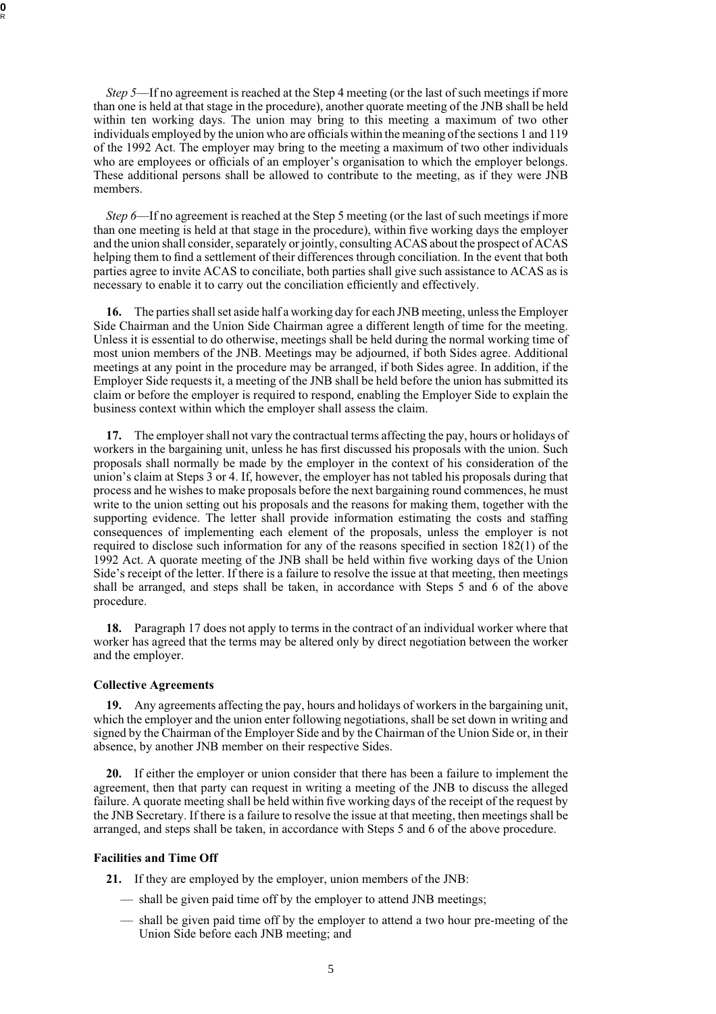*Step 5*—If no agreement is reached at the Step 4 meeting (or the last of such meetings if more than one is held at that stage in the procedure), another quorate meeting of the JNB shall be held within ten working days. The union may bring to this meeting a maximum of two other individuals employed by the union who are officials within the meaning of the sections 1 and 119 of the 1992 Act. The employer may bring to the meeting a maximum of two other individuals who are employees or officials of an employer's organisation to which the employer belongs. These additional persons shall be allowed to contribute to the meeting, as if they were JNB members.

*Step 6*—If no agreement is reached at the Step 5 meeting (or the last of such meetings if more than one meeting is held at that stage in the procedure), within five working days the employer and the union shall consider, separately or jointly, consulting ACAS about the prospect of ACAS helping them to find a settlement of their differences through conciliation. In the event that both parties agree to invite ACAS to conciliate, both parties shall give such assistance to ACAS as is necessary to enable it to carry out the conciliation efficiently and effectively.

**16.** The parties shall set aside half a working day for each JNB meeting, unless the Employer Side Chairman and the Union Side Chairman agree a different length of time for the meeting. Unless it is essential to do otherwise, meetings shall be held during the normal working time of most union members of the JNB. Meetings may be adjourned, if both Sides agree. Additional meetings at any point in the procedure may be arranged, if both Sides agree. In addition, if the Employer Side requests it, a meeting of the JNB shall be held before the union has submitted its claim or before the employer is required to respond, enabling the Employer Side to explain the business context within which the employer shall assess the claim.

**17.** The employer shall not vary the contractual terms affecting the pay, hours or holidays of workers in the bargaining unit, unless he has first discussed his proposals with the union. Such proposals shall normally be made by the employer in the context of his consideration of the union's claim at Steps 3 or 4. If, however, the employer has not tabled his proposals during that process and he wishes to make proposals before the next bargaining round commences, he must write to the union setting out his proposals and the reasons for making them, together with the supporting evidence. The letter shall provide information estimating the costs and staffing consequences of implementing each element of the proposals, unless the employer is not required to disclose such information for any of the reasons specified in section 182(1) of the 1992 Act. A quorate meeting of the JNB shall be held within five working days of the Union Side's receipt of the letter. If there is a failure to resolve the issue at that meeting, then meetings shall be arranged, and steps shall be taken, in accordance with Steps 5 and 6 of the above procedure.

**18.** Paragraph 17 does not apply to terms in the contract of an individual worker where that worker has agreed that the terms may be altered only by direct negotiation between the worker and the employer.

# **Collective Agreements**

**0** R

> **19.** Any agreements affecting the pay, hours and holidays of workers in the bargaining unit, which the employer and the union enter following negotiations, shall be set down in writing and signed by the Chairman of the Employer Side and by the Chairman of the Union Side or, in their absence, by another JNB member on their respective Sides.

> **20.** If either the employer or union consider that there has been a failure to implement the agreement, then that party can request in writing a meeting of the JNB to discuss the alleged failure. A quorate meeting shall be held within five working days of the receipt of the request by the JNB Secretary. If there is a failure to resolve the issue at that meeting, then meetings shall be arranged, and steps shall be taken, in accordance with Steps 5 and 6 of the above procedure.

#### **Facilities and Time Off**

- **21.** If they are employed by the employer, union members of the JNB:
	- shall be given paid time off by the employer to attend JNB meetings;
	- shall be given paid time off by the employer to attend a two hour pre-meeting of the Union Side before each JNB meeting; and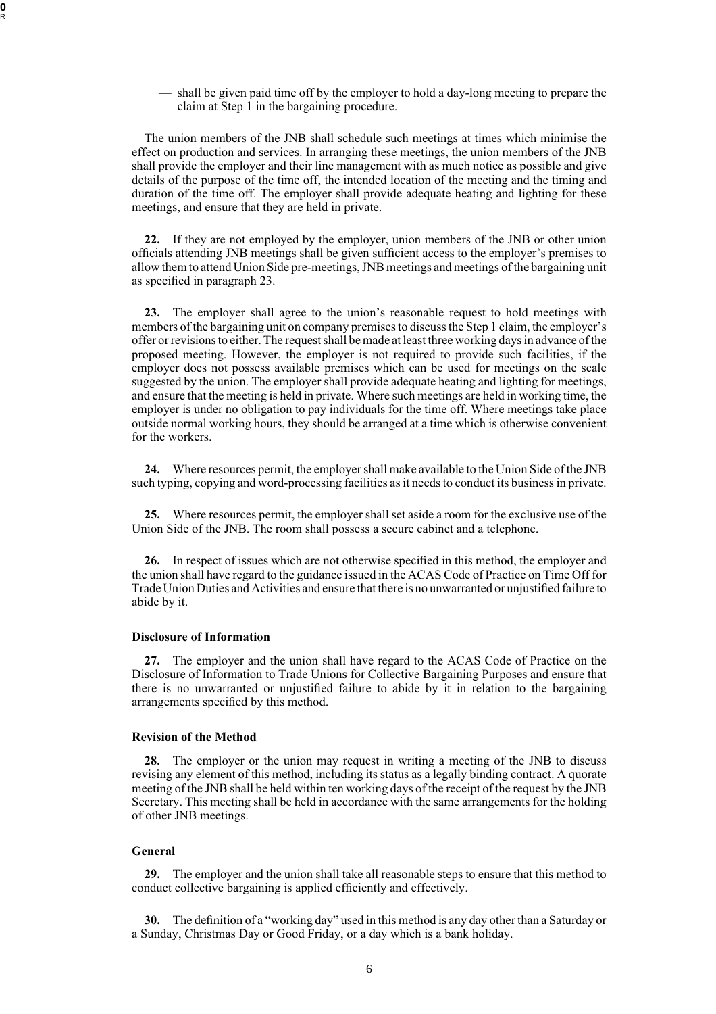— shall be given paid time off by the employer to hold a day-long meeting to prepare the claim at Step 1 in the bargaining procedure.

The union members of the JNB shall schedule such meetings at times which minimise the effect on production and services. In arranging these meetings, the union members of the JNB shall provide the employer and their line management with as much notice as possible and give details of the purpose of the time off, the intended location of the meeting and the timing and duration of the time off. The employer shall provide adequate heating and lighting for these meetings, and ensure that they are held in private.

**22.** If they are not employed by the employer, union members of the JNB or other union officials attending JNB meetings shall be given sufficient access to the employer's premises to allow them to attend Union Side pre-meetings, JNB meetings and meetings of the bargaining unit as specified in paragraph 23.

**23.** The employer shall agree to the union's reasonable request to hold meetings with members of the bargaining unit on company premises to discuss the Step 1 claim, the employer's offer or revisions to either. The request shall be made at least three working days in advance of the proposed meeting. However, the employer is not required to provide such facilities, if the employer does not possess available premises which can be used for meetings on the scale suggested by the union. The employer shall provide adequate heating and lighting for meetings, and ensure that the meeting is held in private. Where such meetings are held in working time, the employer is under no obligation to pay individuals for the time off. Where meetings take place outside normal working hours, they should be arranged at a time which is otherwise convenient for the workers.

**24.** Where resources permit, the employer shall make available to the Union Side of the JNB such typing, copying and word-processing facilities as it needs to conduct its business in private.

**25.** Where resources permit, the employer shall set aside a room for the exclusive use of the Union Side of the JNB. The room shall possess a secure cabinet and a telephone.

**26.** In respect of issues which are not otherwise specified in this method, the employer and the union shall have regard to the guidance issued in the ACAS Code of Practice on Time Off for Trade Union Duties and Activities and ensure that there is no unwarranted or unjustified failure to abide by it.

#### **Disclosure of Information**

**27.** The employer and the union shall have regard to the ACAS Code of Practice on the Disclosure of Information to Trade Unions for Collective Bargaining Purposes and ensure that there is no unwarranted or unjustified failure to abide by it in relation to the bargaining arrangements specified by this method.

# **Revision of the Method**

**28.** The employer or the union may request in writing a meeting of the JNB to discuss revising any element of this method, including its status as a legally binding contract. A quorate meeting of the JNB shall be held within ten working days of the receipt of the request by the JNB Secretary. This meeting shall be held in accordance with the same arrangements for the holding of other JNB meetings.

# **General**

**0** R

> **29.** The employer and the union shall take all reasonable steps to ensure that this method to conduct collective bargaining is applied efficiently and effectively.

> **30.** The definition of a "working day" used in this method is any day other than a Saturday or a Sunday, Christmas Day or Good Friday, or a day which is a bank holiday.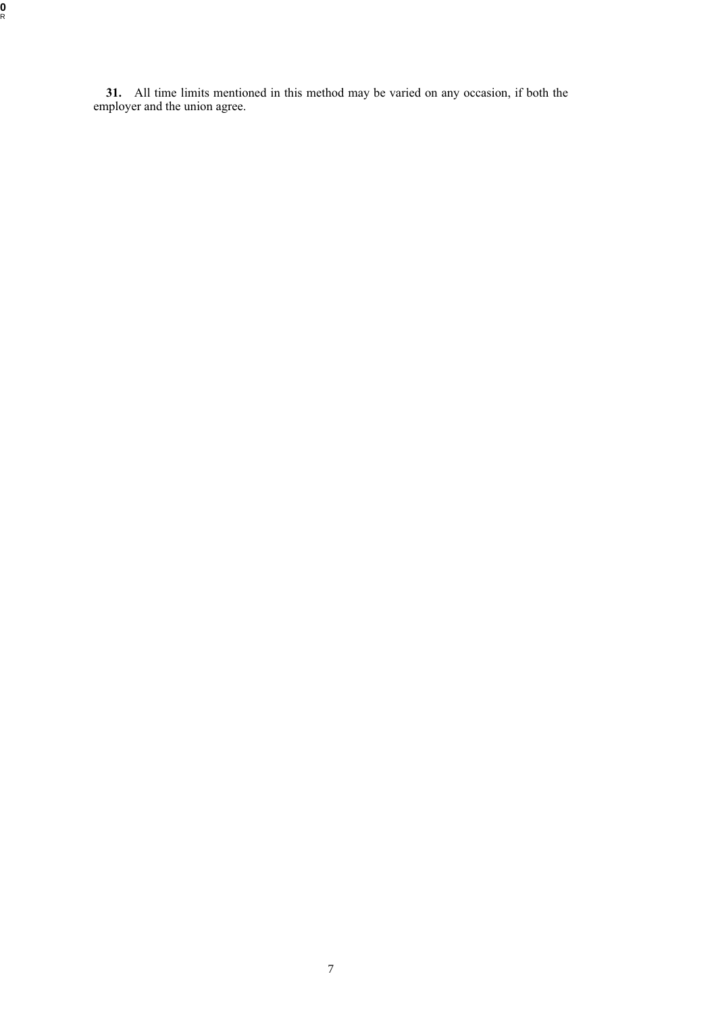**31.** All time limits mentioned in this method may be varied on any occasion, if both the employer and the union agree.

**0** R